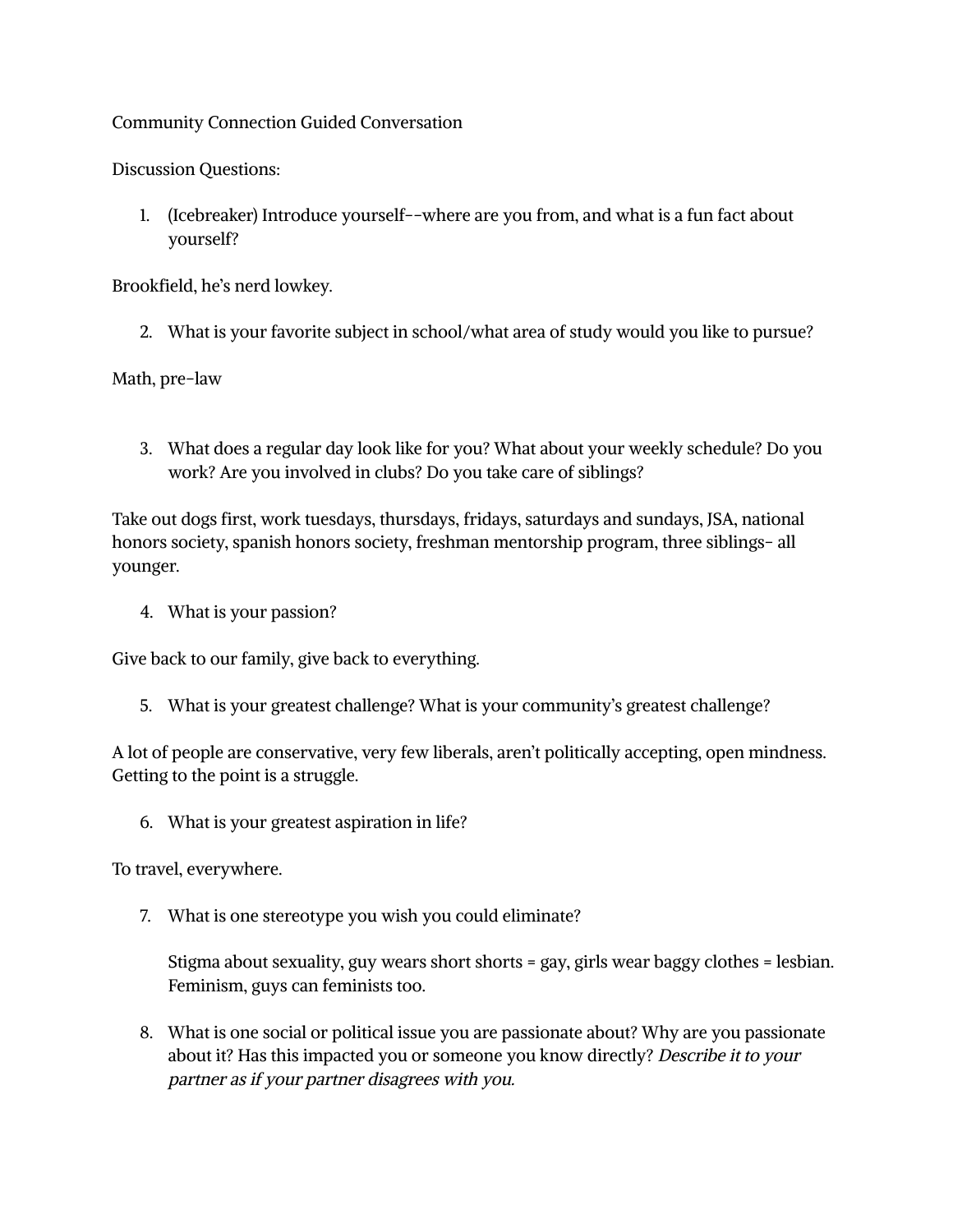## Community Connection Guided Conversation

Discussion Questions:

1. (Icebreaker) Introduce yourself--where are you from, and what is a fun fact about yourself?

Brookfield, he's nerd lowkey.

2. What is your favorite subject in school/what area of study would you like to pursue?

Math, pre-law

3. What does a regular day look like for you? What about your weekly schedule? Do you work? Are you involved in clubs? Do you take care of siblings?

Take out dogs first, work tuesdays, thursdays, fridays, saturdays and sundays, JSA, national honors society, spanish honors society, freshman mentorship program, three siblings- all younger.

4. What is your passion?

Give back to our family, give back to everything.

5. What is your greatest challenge? What is your community's greatest challenge?

A lot of people are conservative, very few liberals, aren't politically accepting, open mindness. Getting to the point is a struggle.

6. What is your greatest aspiration in life?

To travel, everywhere.

7. What is one stereotype you wish you could eliminate?

Stigma about sexuality, guy wears short shorts = gay, girls wear baggy clothes = lesbian. Feminism, guys can feminists too.

8. What is one social or political issue you are passionate about? Why are you passionate about it? Has this impacted you or someone you know directly? Describe it to your partner as if your partner disagrees with you.